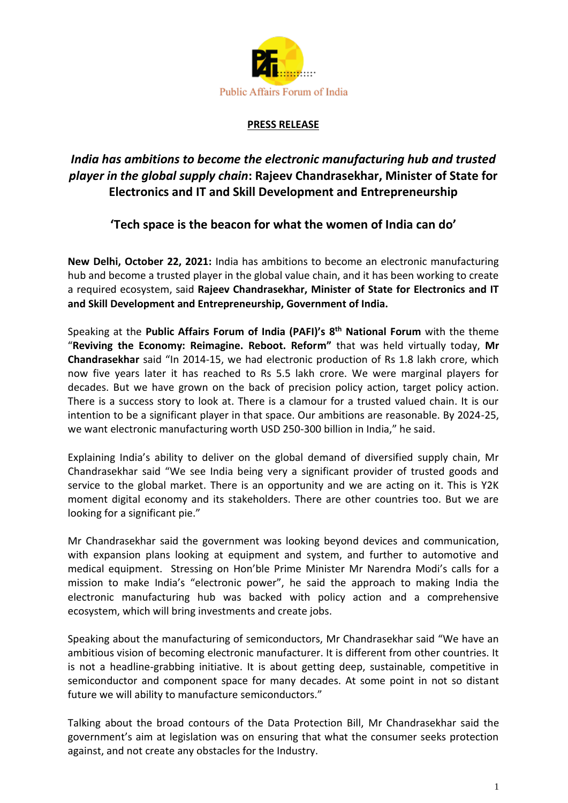

## **PRESS RELEASE**

# *India has ambitions to become the electronic manufacturing hub and trusted player in the global supply chain***: Rajeev Chandrasekhar, Minister of State for Electronics and IT and Skill Development and Entrepreneurship**

## **'Tech space is the beacon for what the women of India can do'**

**New Delhi, October 22, 2021:** India has ambitions to become an electronic manufacturing hub and become a trusted player in the global value chain, and it has been working to create a required ecosystem, said **Rajeev Chandrasekhar, Minister of State for Electronics and IT and Skill Development and Entrepreneurship, Government of India.** 

Speaking at the **Public Affairs Forum of India (PAFI)'s 8 th National Forum** with the theme "**Reviving the Economy: Reimagine. Reboot. Reform"** that was held virtually today, **Mr Chandrasekhar** said "In 2014-15, we had electronic production of Rs 1.8 lakh crore, which now five years later it has reached to Rs 5.5 lakh crore. We were marginal players for decades. But we have grown on the back of precision policy action, target policy action. There is a success story to look at. There is a clamour for a trusted valued chain. It is our intention to be a significant player in that space. Our ambitions are reasonable. By 2024-25, we want electronic manufacturing worth USD 250-300 billion in India," he said.

Explaining India's ability to deliver on the global demand of diversified supply chain, Mr Chandrasekhar said "We see India being very a significant provider of trusted goods and service to the global market. There is an opportunity and we are acting on it. This is Y2K moment digital economy and its stakeholders. There are other countries too. But we are looking for a significant pie."

Mr Chandrasekhar said the government was looking beyond devices and communication, with expansion plans looking at equipment and system, and further to automotive and medical equipment. Stressing on Hon'ble Prime Minister Mr Narendra Modi's calls for a mission to make India's "electronic power", he said the approach to making India the electronic manufacturing hub was backed with policy action and a comprehensive ecosystem, which will bring investments and create jobs.

Speaking about the manufacturing of semiconductors, Mr Chandrasekhar said "We have an ambitious vision of becoming electronic manufacturer. It is different from other countries. It is not a headline-grabbing initiative. It is about getting deep, sustainable, competitive in semiconductor and component space for many decades. At some point in not so distant future we will ability to manufacture semiconductors."

Talking about the broad contours of the Data Protection Bill, Mr Chandrasekhar said the government's aim at legislation was on ensuring that what the consumer seeks protection against, and not create any obstacles for the Industry.